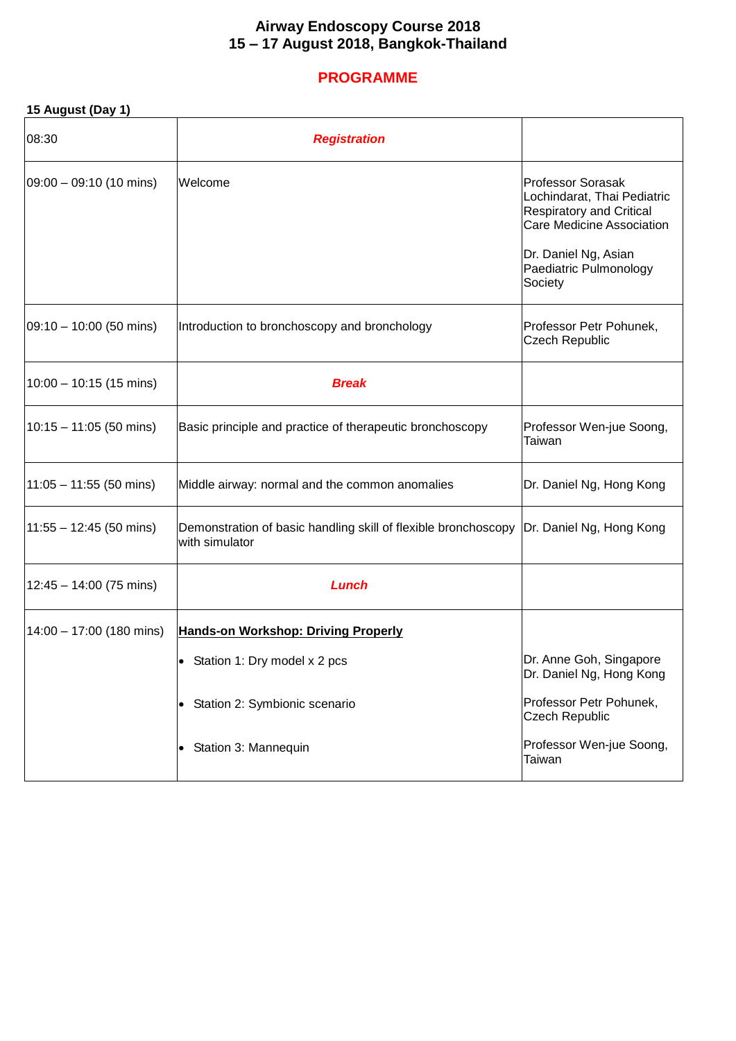### **Airway Endoscopy Course 2018 15 – 17 August 2018, Bangkok-Thailand**

# **PROGRAMME**

| 15 August (Day 1) |  |  |
|-------------------|--|--|
|-------------------|--|--|

| 08:30                              | <b>Registration</b>                                                              |                                                                                                                                                                                      |
|------------------------------------|----------------------------------------------------------------------------------|--------------------------------------------------------------------------------------------------------------------------------------------------------------------------------------|
| $[09:00 - 09:10(10 \text{ mins})]$ | Welcome                                                                          | <b>Professor Sorasak</b><br>Lochindarat, Thai Pediatric<br><b>Respiratory and Critical</b><br>Care Medicine Association<br>Dr. Daniel Ng, Asian<br>Paediatric Pulmonology<br>Society |
| $09:10 - 10:00$ (50 mins)          | Introduction to bronchoscopy and bronchology                                     | Professor Petr Pohunek,<br><b>Czech Republic</b>                                                                                                                                     |
| $10:00 - 10:15$ (15 mins)          | <b>Break</b>                                                                     |                                                                                                                                                                                      |
| $10:15 - 11:05$ (50 mins)          | Basic principle and practice of therapeutic bronchoscopy                         | Professor Wen-jue Soong,<br>Taiwan                                                                                                                                                   |
| $11:05 - 11:55$ (50 mins)          | Middle airway: normal and the common anomalies                                   | Dr. Daniel Ng, Hong Kong                                                                                                                                                             |
| $11:55 - 12:45$ (50 mins)          | Demonstration of basic handling skill of flexible bronchoscopy<br>with simulator | Dr. Daniel Ng, Hong Kong                                                                                                                                                             |
| $12:45 - 14:00(75 \text{ mins})$   | Lunch                                                                            |                                                                                                                                                                                      |
| $14:00 - 17:00$ (180 mins)         | <b>Hands-on Workshop: Driving Properly</b>                                       |                                                                                                                                                                                      |
|                                    | Station 1: Dry model x 2 pcs<br>$\bullet$                                        | Dr. Anne Goh, Singapore<br>Dr. Daniel Ng, Hong Kong                                                                                                                                  |
|                                    | • Station 2: Symbionic scenario                                                  | Professor Petr Pohunek,<br><b>Czech Republic</b>                                                                                                                                     |
|                                    | Station 3: Mannequin<br>$\bullet$                                                | Professor Wen-jue Soong,<br>Taiwan                                                                                                                                                   |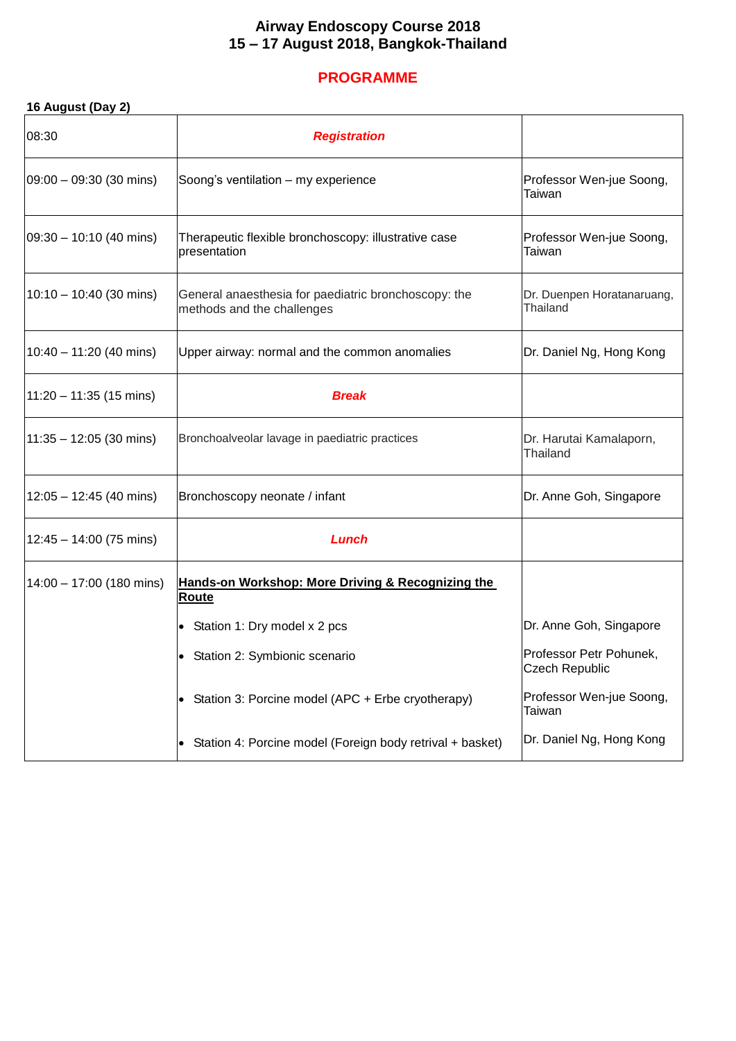### **Airway Endoscopy Course 2018 15 – 17 August 2018, Bangkok-Thailand**

# **PROGRAMME**

## **16 August (Day 2)**

| 08:30                     | <b>Registration</b>                                                                |                                                  |
|---------------------------|------------------------------------------------------------------------------------|--------------------------------------------------|
| 09:00 - 09:30 (30 mins)   | Soong's ventilation - my experience                                                | Professor Wen-jue Soong,<br>Taiwan               |
| 09:30 - 10:10 (40 mins)   | Therapeutic flexible bronchoscopy: illustrative case<br>presentation               | Professor Wen-jue Soong,<br>Taiwan               |
| $10:10 - 10:40$ (30 mins) | General anaesthesia for paediatric bronchoscopy: the<br>methods and the challenges | Dr. Duenpen Horatanaruang,<br><b>Thailand</b>    |
| $10:40 - 11:20$ (40 mins) | Upper airway: normal and the common anomalies                                      | Dr. Daniel Ng, Hong Kong                         |
| $11:20 - 11:35$ (15 mins) | <b>Break</b>                                                                       |                                                  |
| $11:35 - 12:05$ (30 mins) | Bronchoalveolar lavage in paediatric practices                                     | Dr. Harutai Kamalaporn,<br>Thailand              |
| $12:05 - 12:45$ (40 mins) | Bronchoscopy neonate / infant                                                      | Dr. Anne Goh, Singapore                          |
| $12:45 - 14:00$ (75 mins) | Lunch                                                                              |                                                  |
| 14:00 - 17:00 (180 mins)  | Hands-on Workshop: More Driving & Recognizing the<br>Route                         |                                                  |
|                           | • Station 1: Dry model x 2 pcs                                                     | Dr. Anne Goh, Singapore                          |
|                           | • Station 2: Symbionic scenario                                                    | Professor Petr Pohunek,<br><b>Czech Republic</b> |
|                           | • Station 3: Porcine model (APC + Erbe cryotherapy)                                | Professor Wen-jue Soong,<br>Taiwan               |
|                           | Station 4: Porcine model (Foreign body retrival + basket)                          | Dr. Daniel Ng, Hong Kong                         |